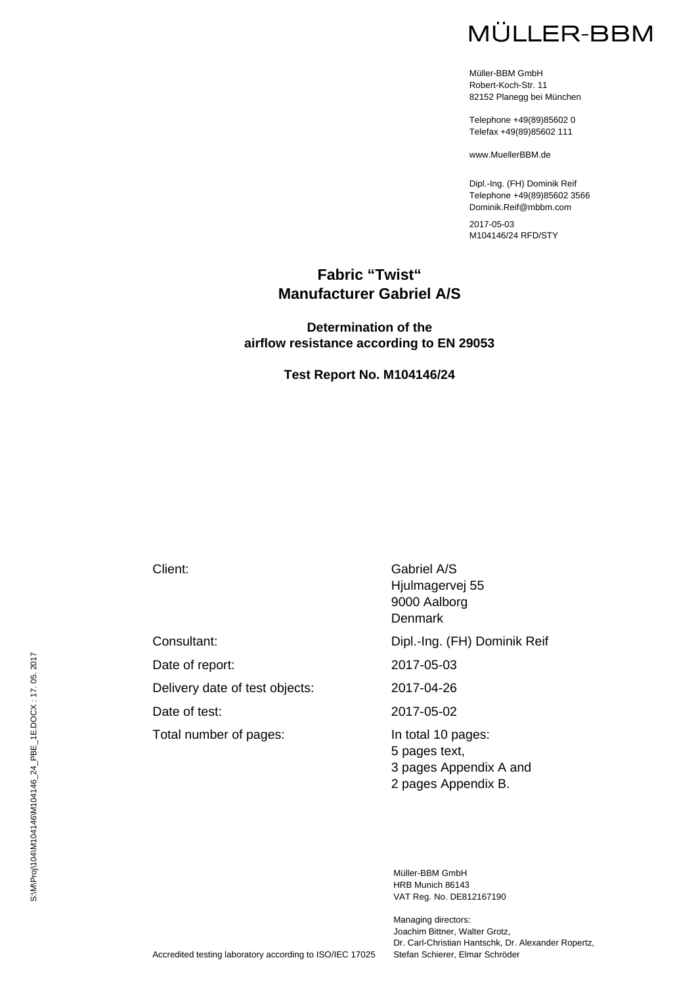# MÜLLER-BBM

Müller-BBM GmbH Robert-Koch-Str. 11 82152 Planegg bei München

Telephone +49(89)85602 0 Telefax +49(89)85602 111

www.MuellerBBM.de

Dipl.-Ing. (FH) Dominik Reif Telephone +49(89)85602 3566 Dominik.Reif@mbbm.com

2017-05-03 M104146/24 RFD/STY

#### **Fabric "Twist" Manufacturer Gabriel A/S**

#### **Determination of the airflow resistance according to EN 29053**

#### **Test Report No. M104146/24**

Date of report: 2017-05-03

Delivery date of test objects: 2017-04-26

Total number of pages: In total 10 pages:

Client: Gabriel A/S Hjulmagervej 55 9000 Aalborg **Denmark** 

Consultant: Dipl.-Ing. (FH) Dominik Reif

Date of test: 2017-05-02

5 pages text, 3 pages Appendix A and 2 pages Appendix B.

Müller-BBM GmbH HRB Munich 86143 VAT Reg. No. DE812167190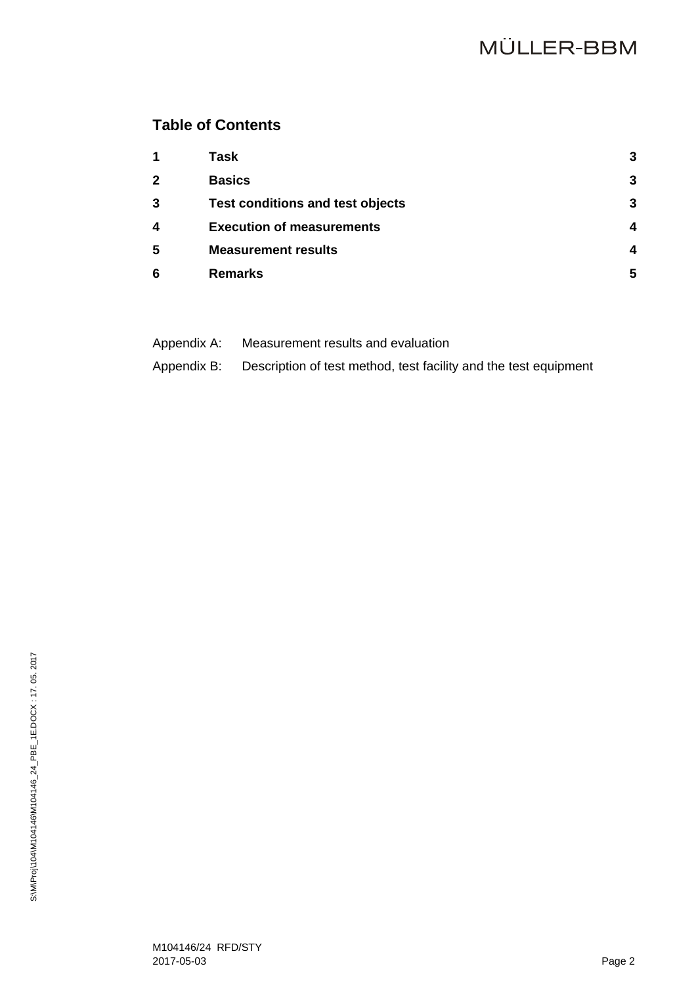## **Table of Contents**

| $\mathbf 1$  | Task                                    | 3 |
|--------------|-----------------------------------------|---|
| $\mathbf{2}$ | <b>Basics</b>                           | 3 |
| 3            | <b>Test conditions and test objects</b> | 3 |
| 4            | <b>Execution of measurements</b>        | 4 |
| 5            | <b>Measurement results</b>              | 4 |
| 6            | <b>Remarks</b>                          | 5 |

| Appendix A: | Measurement results and evaluation |
|-------------|------------------------------------|
|-------------|------------------------------------|

Appendix B: Description of test method, test facility and the test equipment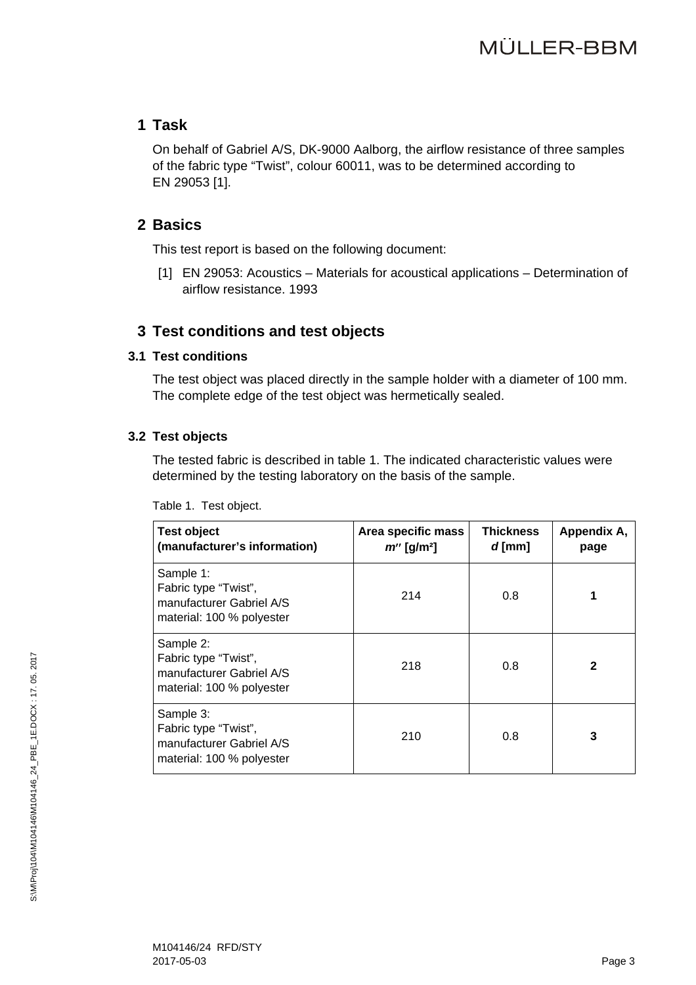#### **1 Task**

On behalf of Gabriel A/S, DK-9000 Aalborg, the airflow resistance of three samples of the fabric type "Twist", colour 60011, was to be determined according to EN 29053 [1].

### **2 Basics**

This test report is based on the following document:

[1] EN 29053: Acoustics – Materials for acoustical applications – Determination of airflow resistance. 1993

### **3 Test conditions and test objects**

#### **3.1 Test conditions**

The test object was placed directly in the sample holder with a diameter of 100 mm. The complete edge of the test object was hermetically sealed.

#### **3.2 Test objects**

The tested fabric is described in table 1. The indicated characteristic values were determined by the testing laboratory on the basis of the sample.

| <b>Test object</b><br>(manufacturer's information)                                         | Area specific mass<br>$m''$ [g/m <sup>2</sup> ] | <b>Thickness</b><br>$d$ [mm] | Appendix A,<br>page |
|--------------------------------------------------------------------------------------------|-------------------------------------------------|------------------------------|---------------------|
| Sample 1:<br>Fabric type "Twist",<br>manufacturer Gabriel A/S<br>material: 100 % polyester | 214                                             | 0.8                          | 1                   |
| Sample 2:<br>Fabric type "Twist",<br>manufacturer Gabriel A/S<br>material: 100 % polyester | 218                                             | 0.8                          | $\mathbf{2}$        |
| Sample 3:<br>Fabric type "Twist",<br>manufacturer Gabriel A/S<br>material: 100 % polyester | 210                                             | 0.8                          | 3                   |

Table 1. Test object.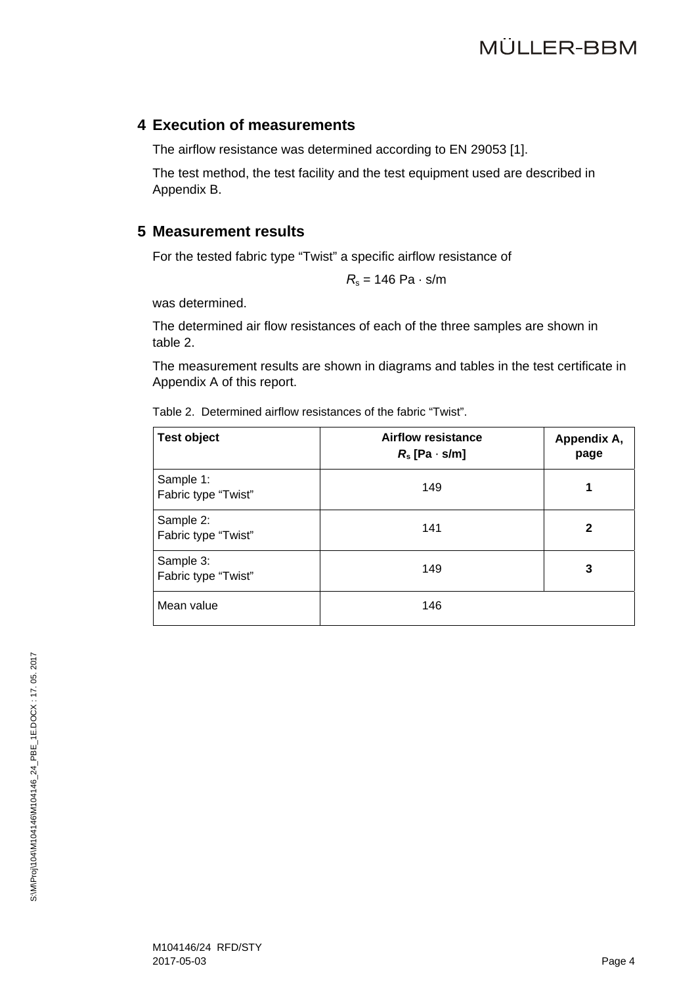# **MÜLLER-BBM**

#### **4 Execution of measurements**

The airflow resistance was determined according to EN 29053 [1].

The test method, the test facility and the test equipment used are described in Appendix B.

#### **5 Measurement results**

For the tested fabric type "Twist" a specific airflow resistance of

$$
R_{\rm s}=146~{\rm Pa\cdot s/m}
$$

was determined.

The determined air flow resistances of each of the three samples are shown in table 2.

The measurement results are shown in diagrams and tables in the test certificate in Appendix A of this report.

|  | Table 2. Determined airflow resistances of the fabric "Twist". |  |  |
|--|----------------------------------------------------------------|--|--|
|  |                                                                |  |  |

| <b>Test object</b>               | <b>Airflow resistance</b><br>$R_s$ [Pa $\cdot$ s/m] | Appendix A,<br>page |
|----------------------------------|-----------------------------------------------------|---------------------|
| Sample 1:<br>Fabric type "Twist" | 149                                                 | 1                   |
| Sample 2:<br>Fabric type "Twist" | 141                                                 | $\mathbf{2}$        |
| Sample 3:<br>Fabric type "Twist" | 149                                                 | 3                   |
| Mean value                       | 146                                                 |                     |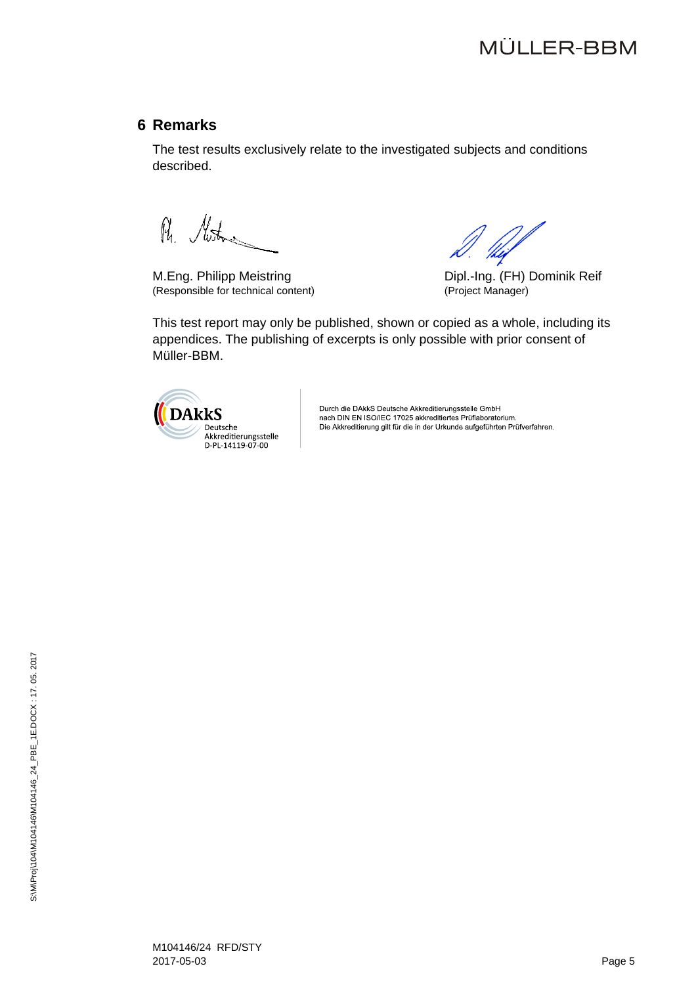#### **6 Remarks**

The test results exclusively relate to the investigated subjects and conditions described.

R. Mustana

M.Eng. Philipp Meistring **Diplemannia Reif** Dipl.-Ing. (FH) Dominik Reif (Responsible for technical content) (Project Manager)

This test report may only be published, shown or copied as a whole, including its appendices. The publishing of excerpts is only possible with prior consent of Müller-BBM.



Durch die DAkkS Deutsche Akkreditierungsstelle GmbH nach DIN EN ISO/IEC 17025 akkreditiertes Prüflaboratorium. Die Akkreditierung gilt für die in der Urkunde aufgeführten Prüfverfahren.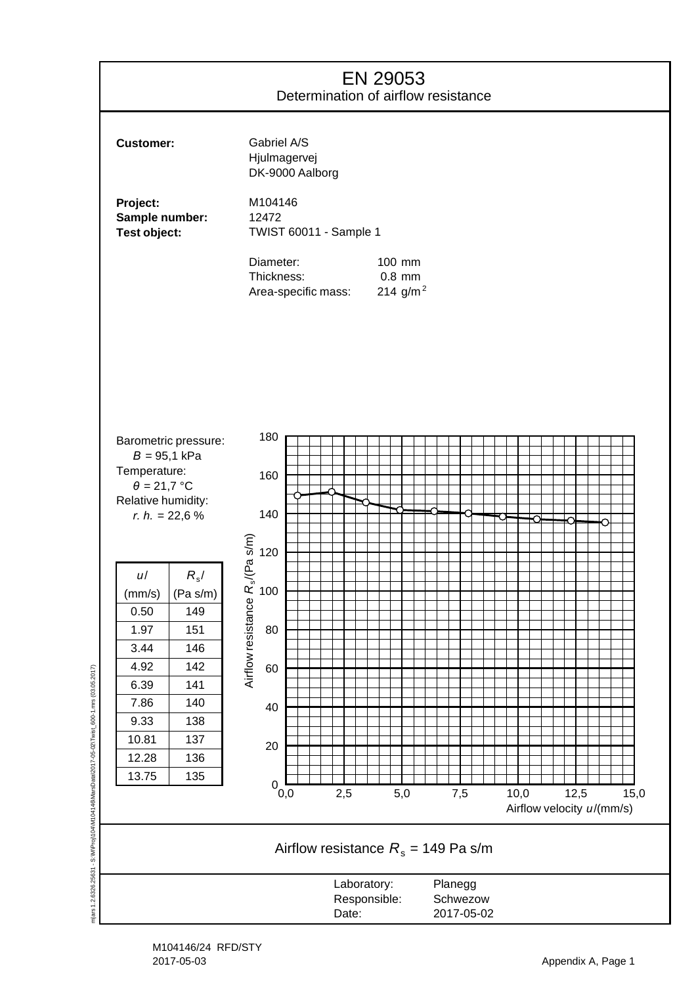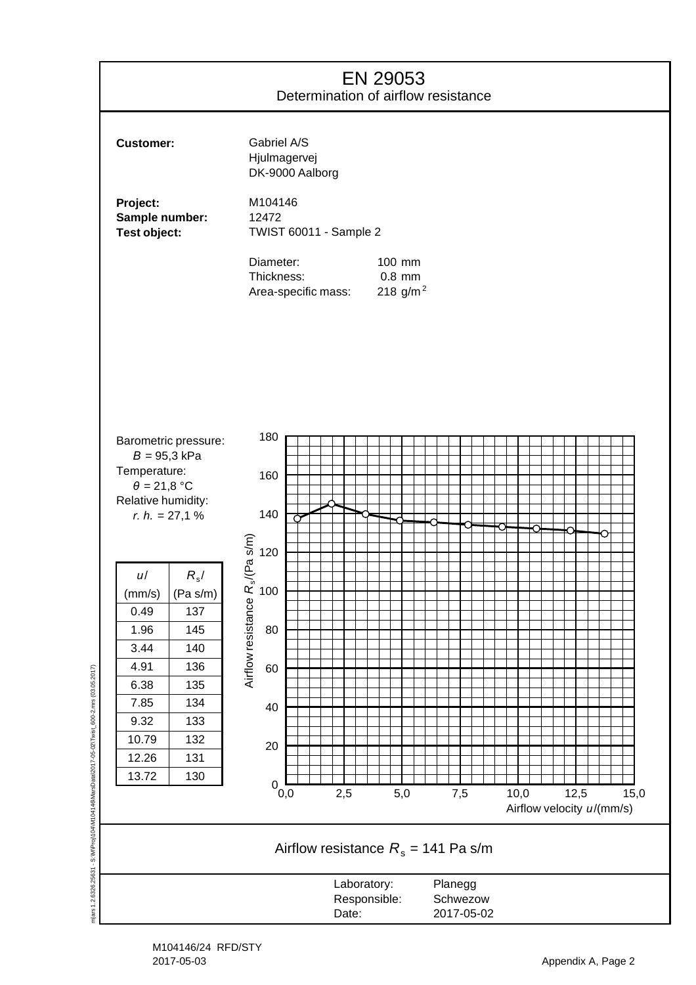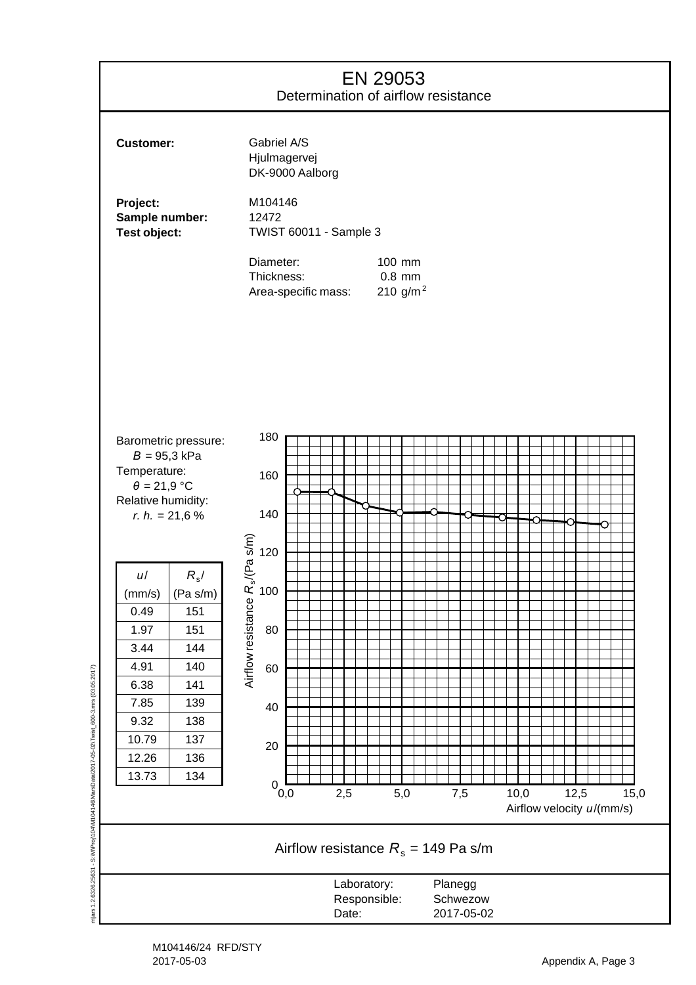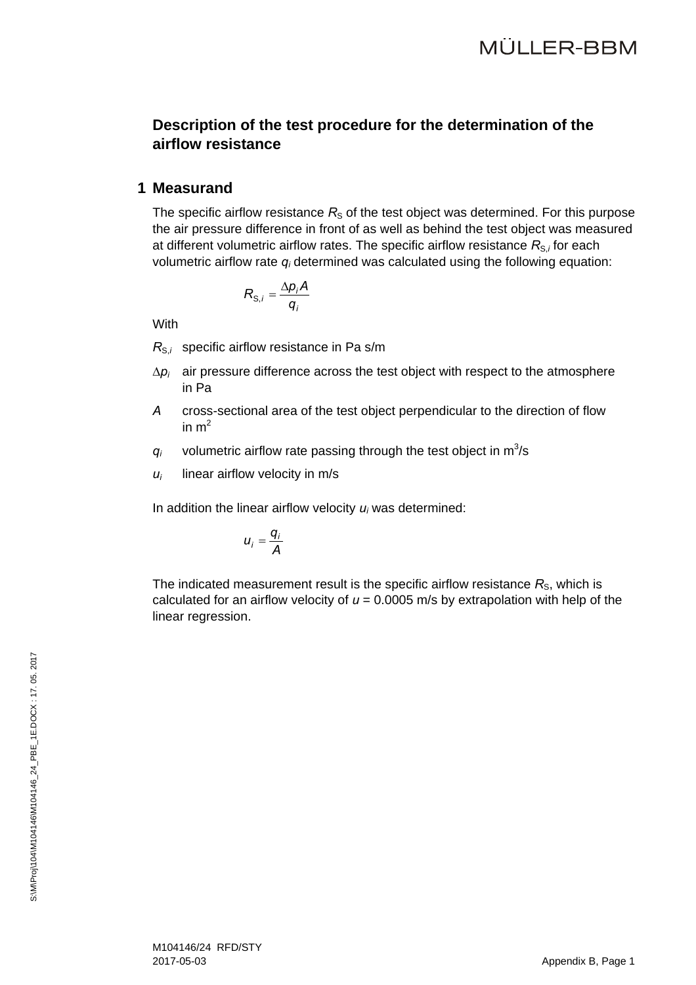#### **Description of the test procedure for the determination of the airflow resistance**

#### **1 Measurand**

The specific airflow resistance  $R<sub>S</sub>$  of the test object was determined. For this purpose the air pressure difference in front of as well as behind the test object was measured at different volumetric airflow rates. The specific airflow resistance  $R_{S,i}$  for each volumetric airflow rate  $q_i$  determined was calculated using the following equation:

$$
R_{\mathrm{S},i}=\frac{\Delta p_i A}{q_i}
$$

With

*R<sub>S,i</sub>* specific airflow resistance in Pa s/m

- $\Delta p_i$  air pressure difference across the test object with respect to the atmosphere in Pa
- *A* cross-sectional area of the test object perpendicular to the direction of flow in  $m<sup>2</sup>$
- $q_i$  volumetric airflow rate passing through the test object in  $m^3/s$
- $u_i$  linear airflow velocity in m/s

In addition the linear airflow velocity *ui* was determined:

$$
u_i=\frac{q_i}{A}
$$

The indicated measurement result is the specific airflow resistance  $R<sub>S</sub>$ , which is calculated for an airflow velocity of  $u = 0.0005$  m/s by extrapolation with help of the linear regression.